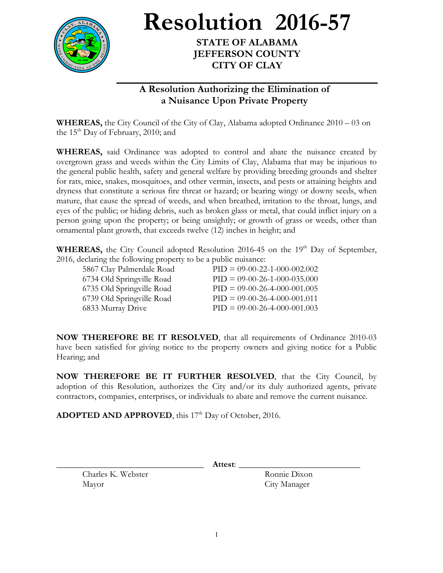

**Resolution 2016-57**

**STATE OF ALABAMA JEFFERSON COUNTY CITY OF CLAY**

## **A Resolution Authorizing the Elimination of a Nuisance Upon Private Property**

**WHEREAS,** the City Council of the City of Clay, Alabama adopted Ordinance 2010 – 03 on the  $15<sup>th</sup>$  Day of February, 2010; and

**WHEREAS,** said Ordinance was adopted to control and abate the nuisance created by overgrown grass and weeds within the City Limits of Clay, Alabama that may be injurious to the general public health, safety and general welfare by providing breeding grounds and shelter for rats, mice, snakes, mosquitoes, and other vermin, insects, and pests or attaining heights and dryness that constitute a serious fire threat or hazard; or bearing wingy or downy seeds, when mature, that cause the spread of weeds, and when breathed, irritation to the throat, lungs, and eyes of the public; or hiding debris, such as broken glass or metal, that could inflict injury on a person going upon the property; or being unsightly; or growth of grass or weeds, other than ornamental plant growth, that exceeds twelve (12) inches in height; and

WHEREAS, the City Council adopted Resolution 2016-45 on the 19<sup>th</sup> Day of September, 2016, declaring the following property to be a public nuisance:

| 5867 Clay Palmerdale Road | $PID = 09-00-22-1-000-002.002$ |
|---------------------------|--------------------------------|
| 6734 Old Springville Road | $PID = 09-00-26-1-000-035.000$ |
| 6735 Old Springville Road | $PID = 09-00-26-4-000-001.005$ |
| 6739 Old Springville Road | $PID = 09-00-26-4-000-001.011$ |
| 6833 Murray Drive         | $PID = 09-00-26-4-000-001.003$ |

**NOW THEREFORE BE IT RESOLVED**, that all requirements of Ordinance 2010-03 have been satisfied for giving notice to the property owners and giving notice for a Public Hearing; and

**NOW THEREFORE BE IT FURTHER RESOLVED**, that the City Council, by adoption of this Resolution, authorizes the City and/or its duly authorized agents, private contractors, companies, enterprises, or individuals to abate and remove the current nuisance.

ADOPTED AND APPROVED, this 17<sup>th</sup> Day of October, 2016.

Charles K. Webster Ronnie Dixon Mayor City Manager

\_\_\_\_\_\_\_\_\_\_\_\_\_\_\_\_\_\_\_\_\_\_\_\_\_\_\_\_\_\_\_\_\_\_ **Attest**: \_\_\_\_\_\_\_\_\_\_\_\_\_\_\_\_\_\_\_\_\_\_\_\_\_\_\_\_